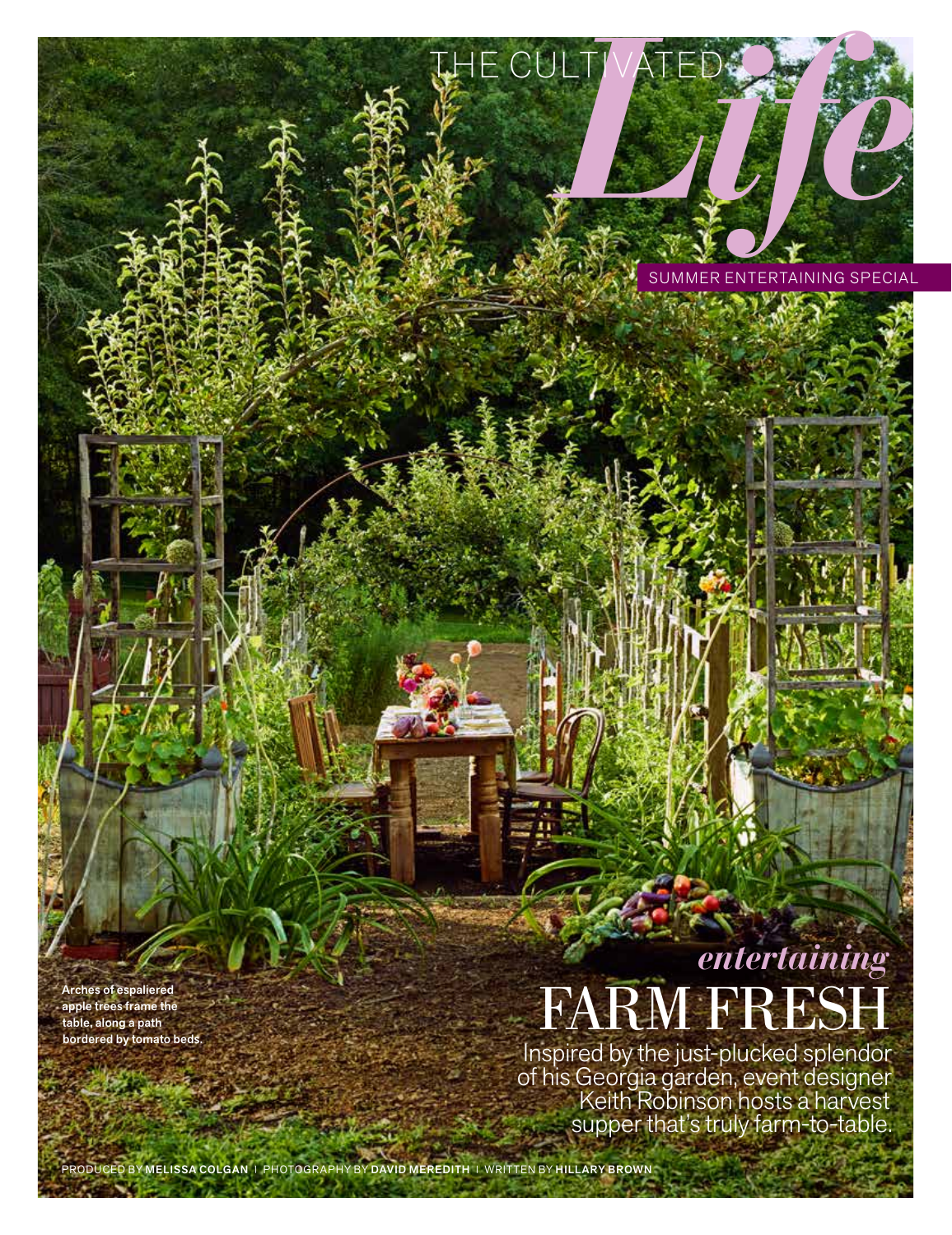SUMMER ENTERTAINING SPECIAL

HE CULTIVATED 2

apple trees frame the table, along a path bordered by tomato beds.

## *entertaining*  $F\text{ARM FRE}^{\text{Arches of espaliered}}_{\text{apple trees frame the}} \hspace{2em} \text{FARM FREESH}$

Inspired by the just-plucked splendor of his Georgia garden, event designer Keith Robinson hosts a harvest supper that's truly farm-to-table.

MELISSA COLGAN | PHOTOGRAPHY BY DAVID MEREDITH | WRITTEN BY HILLARY BROWN